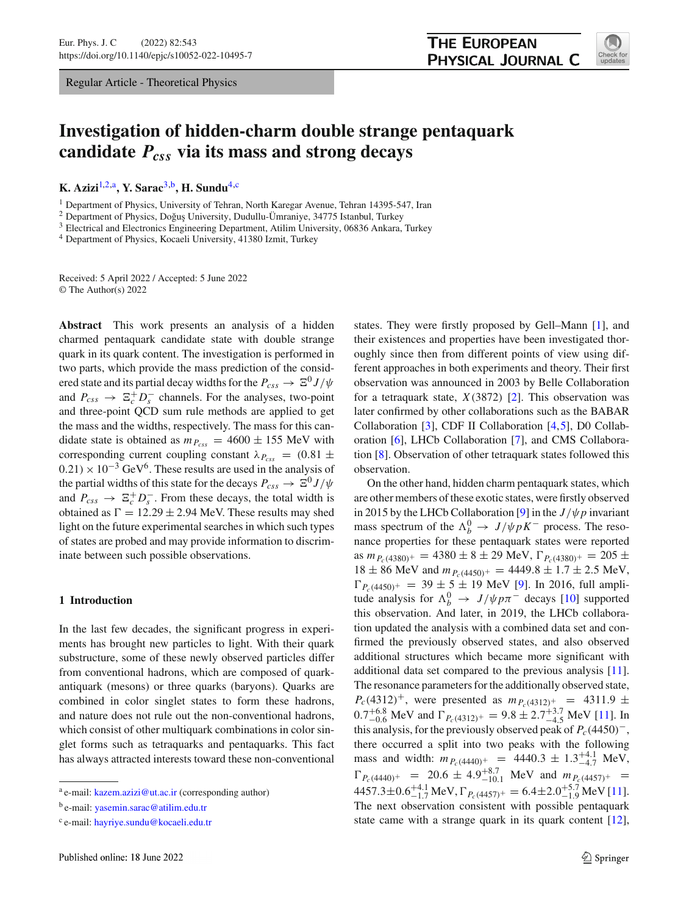Regular Article - Theoretical Physics



# **Investigation of hidden-charm double strange pentaquark candidate** *Pcss* **via its mass and strong decays**

**K. Azizi**[1,2,](#page-0-0)a**, Y. Sarac**[3,](#page-0-1)b**, H. Sundu**[4,](#page-0-2)c

<sup>1</sup> Department of Physics, University of Tehran, North Karegar Avenue, Tehran 14395-547, Iran  $^2$  Department of Physics, Doğuş University, Dudullu-Ümraniye, 34775 Istanbul, Turkey

 $3$  Electrical and Electronics Engineering Department, Atilim University, 06836 Ankara, Turkey

<sup>4</sup> Department of Physics, Kocaeli University, 41380 Izmit, Turkey

Received: 5 April 2022 / Accepted: 5 June 2022 © The Author(s) 2022

**Abstract** This work presents an analysis of a hidden charmed pentaquark candidate state with double strange quark in its quark content. The investigation is performed in two parts, which provide the mass prediction of the considered state and its partial decay widths for the  $P_{css} \to \Xi^0 J/\psi$ and  $P_{css} \rightarrow \Xi_c^+ D_s^-$  channels. For the analyses, two-point and three-point QCD sum rule methods are applied to get the mass and the widths, respectively. The mass for this candidate state is obtained as  $m_{P_{CSS}} = 4600 \pm 155$  MeV with corresponding current coupling constant  $\lambda_{P_{CSS}} = (0.81 \pm 1)$  $(0.21) \times 10^{-3}$  GeV<sup>6</sup>. These results are used in the analysis of the partial widths of this state for the decays  $P_{CSS} \to \Xi^0 J/\psi$ and  $P_{css} \rightarrow \Xi_c^+ D_s^-$ . From these decays, the total width is obtained as  $\Gamma = 12.29 \pm 2.94$  MeV. These results may shed light on the future experimental searches in which such types of states are probed and may provide information to discriminate between such possible observations.

### **1 Introduction**

In the last few decades, the significant progress in experiments has brought new particles to light. With their quark substructure, some of these newly observed particles differ from conventional hadrons, which are composed of quarkantiquark (mesons) or three quarks (baryons). Quarks are combined in color singlet states to form these hadrons, and nature does not rule out the non-conventional hadrons, which consist of other multiquark combinations in color singlet forms such as tetraquarks and pentaquarks. This fact has always attracted interests toward these non-conventional

<span id="page-0-2"></span><span id="page-0-1"></span><span id="page-0-0"></span>states. They were firstly proposed by Gell–Mann [\[1](#page-8-0)], and their existences and properties have been investigated thoroughly since then from different points of view using different approaches in both experiments and theory. Their first observation was announced in 2003 by Belle Collaboration for a tetraquark state, *X*(3872) [\[2](#page-8-1)]. This observation was later confirmed by other collaborations such as the BABAR Collaboration [\[3\]](#page-8-2), CDF II Collaboration [\[4](#page-8-3),[5\]](#page-8-4), D0 Collaboration [\[6](#page-8-5)], LHCb Collaboration [\[7](#page-8-6)], and CMS Collaboration [\[8](#page-8-7)]. Observation of other tetraquark states followed this observation.

On the other hand, hidden charm pentaquark states, which are other members of these exotic states, were firstly observed in 2015 by the LHCb Collaboration [\[9\]](#page-8-8) in the  $J/\psi p$  invariant mass spectrum of the  $\Lambda_b^0 \to J/\psi p K^-$  process. The resonance properties for these pentaquark states were reported as  $m_{P_c(4380)^+} = 4380 \pm 8 \pm 29$  MeV,  $\Gamma_{P_c(4380)^+} = 205 \pm 10$  $18 \pm 86$  MeV and  $m_{P_c(4450)^+} = 4449.8 \pm 1.7 \pm 2.5$  MeV,  $\Gamma_{P_c(4450)^+}$  = 39 ± 5 ± 19 MeV [\[9](#page-8-8)]. In 2016, full amplitude analysis for  $\Lambda_b^0 \to J/\psi p \pi^-$  decays [\[10\]](#page-8-9) supported this observation. And later, in 2019, the LHCb collaboration updated the analysis with a combined data set and confirmed the previously observed states, and also observed additional structures which became more significant with additional data set compared to the previous analysis [\[11](#page-8-10)]. The resonance parameters for the additionally observed state,  $P_c(4312)^+$ , were presented as  $m_{P_c(4312)^+} = 4311.9 \pm 10^{-4}$  $0.7^{+6.8}_{-0.6}$  MeV and  $\Gamma_{P_c(4312)^+} = 9.8 \pm 2.7^{+3.7}_{-4.5}$  MeV [\[11](#page-8-10)]. In this analysis, for the previously observed peak of  $P_c(4450)^-$ , there occurred a split into two peaks with the following mass and width:  $m_{P_c(4440)^+}$  = 4440.3 ± 1.3<sup>+4.1</sup> MeV,  $\Gamma_{P_c(4440)^+}$  = 20.6 ± 4.9<sup>+8.7</sup><sub>10.1</sub> MeV and  $m_{P_c(4457)^+}$  =  $4457.3 \pm 0.6^{+4.1}_{-1.7}$  MeV,  $\Gamma_{P_c(4457)^+} = 6.4 \pm 2.0^{+5.7}_{-1.9}$  MeV [\[11](#page-8-10)]. The next observation consistent with possible pentaquark state came with a strange quark in its quark content [\[12](#page-8-11)],

<sup>&</sup>lt;sup>a</sup> e-mail: [kazem.azizi@ut.ac.ir](mailto:kazem.azizi@ut.ac.ir) (corresponding author)

<sup>b</sup> e-mail: [yasemin.sarac@atilim.edu.tr](mailto:yasemin.sarac@atilim.edu.tr)

<sup>c</sup> e-mail: [hayriye.sundu@kocaeli.edu.tr](mailto:hayriye.sundu@kocaeli.edu.tr)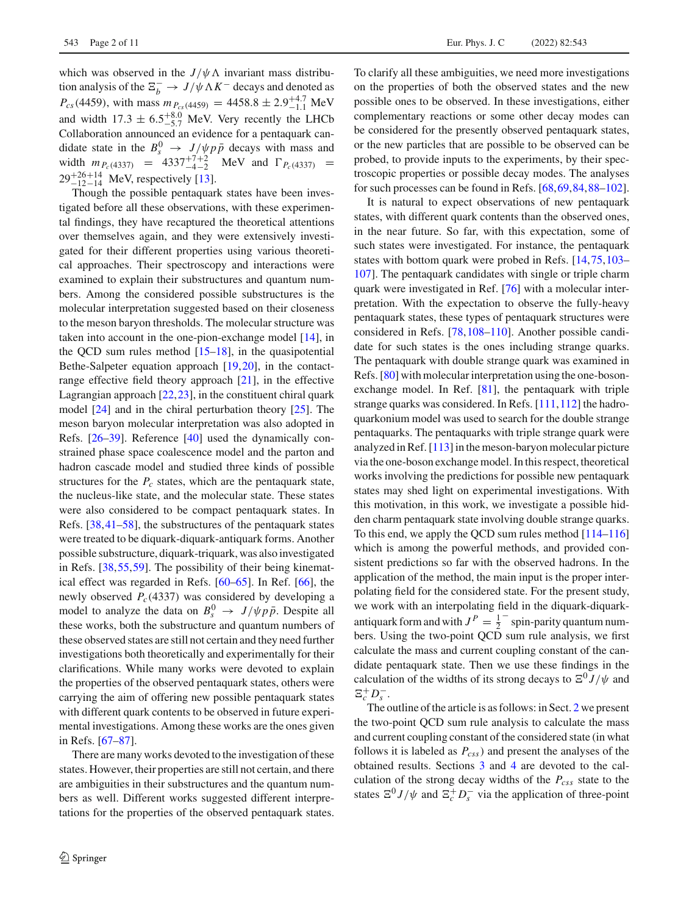which was observed in the  $J/\psi \Lambda$  invariant mass distribution analysis of the  $\Xi_b^- \to J/\psi \Lambda K^-$  decays and denoted as  $P_{cs}(4459)$ , with mass  $m_{P_{cs}(4459)} = 4458.8 \pm 2.9^{+4.7}_{-1.1}$  MeV and width  $17.3 \pm 6.5^{+8.0}_{-5.7}$  MeV. Very recently the LHCb Collaboration announced an evidence for a pentaquark candidate state in the  $B_s^0 \rightarrow J/\psi p \bar{p}$  decays with mass and width  $m_{P_c(4337)} = 4337^{+7+2}_{-4-2}$  MeV and  $\Gamma_{P_c(4337)} =$  $29^{+26+14}_{-12-14}$  MeV, respectively [\[13\]](#page-8-12).

Though the possible pentaquark states have been investigated before all these observations, with these experimental findings, they have recaptured the theoretical attentions over themselves again, and they were extensively investigated for their different properties using various theoretical approaches. Their spectroscopy and interactions were examined to explain their substructures and quantum numbers. Among the considered possible substructures is the molecular interpretation suggested based on their closeness to the meson baryon thresholds. The molecular structure was taken into account in the one-pion-exchange model [\[14\]](#page-8-13), in the QCD sum rules method  $[15–18]$  $[15–18]$ , in the quasipotential Bethe-Salpeter equation approach [\[19](#page-9-1)[,20](#page-9-2)], in the contactrange effective field theory approach [\[21](#page-9-3)], in the effective Lagrangian approach [\[22](#page-9-4),[23\]](#page-9-5), in the constituent chiral quark model [\[24\]](#page-9-6) and in the chiral perturbation theory [\[25](#page-9-7)]. The meson baryon molecular interpretation was also adopted in Refs. [\[26](#page-9-8)[–39](#page-9-9)]. Reference [\[40\]](#page-9-10) used the dynamically constrained phase space coalescence model and the parton and hadron cascade model and studied three kinds of possible structures for the  $P_c$  states, which are the pentaquark state, the nucleus-like state, and the molecular state. These states were also considered to be compact pentaquark states. In Refs. [\[38,](#page-9-11)[41](#page-9-12)[–58\]](#page-9-13), the substructures of the pentaquark states were treated to be diquark-diquark-antiquark forms. Another possible substructure, diquark-triquark, was also investigated in Refs. [\[38,](#page-9-11)[55](#page-9-14)[,59](#page-9-15)]. The possibility of their being kinematical effect was regarded in Refs. [\[60](#page-9-16)[–65\]](#page-9-17). In Ref. [\[66\]](#page-9-18), the newly observed  $P_c(4337)$  was considered by developing a model to analyze the data on  $B_s^0 \rightarrow J/\psi p \bar{p}$ . Despite all these works, both the substructure and quantum numbers of these observed states are still not certain and they need further investigations both theoretically and experimentally for their clarifications. While many works were devoted to explain the properties of the observed pentaquark states, others were carrying the aim of offering new possible pentaquark states with different quark contents to be observed in future experimental investigations. Among these works are the ones given in Refs. [\[67](#page-9-19)[–87\]](#page-10-0).

There are many works devoted to the investigation of these states. However, their properties are still not certain, and there are ambiguities in their substructures and the quantum numbers as well. Different works suggested different interpretations for the properties of the observed pentaquark states.

To clarify all these ambiguities, we need more investigations on the properties of both the observed states and the new possible ones to be observed. In these investigations, either complementary reactions or some other decay modes can be considered for the presently observed pentaquark states, or the new particles that are possible to be observed can be probed, to provide inputs to the experiments, by their spectroscopic properties or possible decay modes. The analyses for such processes can be found in Refs. [\[68](#page-9-20)[,69](#page-9-21)[,84](#page-9-22),[88](#page-10-1)[–102](#page-10-2)].

It is natural to expect observations of new pentaquark states, with different quark contents than the observed ones, in the near future. So far, with this expectation, some of such states were investigated. For instance, the pentaquark states with bottom quark were probed in Refs. [\[14](#page-8-13)[,75](#page-9-23)[,103](#page-10-3)– [107](#page-10-4)]. The pentaquark candidates with single or triple charm quark were investigated in Ref. [\[76\]](#page-9-24) with a molecular interpretation. With the expectation to observe the fully-heavy pentaquark states, these types of pentaquark structures were considered in Refs. [\[78,](#page-9-25)[108](#page-10-5)[–110\]](#page-10-6). Another possible candidate for such states is the ones including strange quarks. The pentaquark with double strange quark was examined in Refs. [\[80\]](#page-9-26) with molecular interpretation using the one-bosonexchange model. In Ref. [\[81](#page-9-27)], the pentaquark with triple strange quarks was considered. In Refs. [\[111](#page-10-7)[,112](#page-10-8)] the hadroquarkonium model was used to search for the double strange pentaquarks. The pentaquarks with triple strange quark were analyzed in Ref. [\[113\]](#page-10-9) in the meson-baryon molecular picture via the one-boson exchange model. In this respect, theoretical works involving the predictions for possible new pentaquark states may shed light on experimental investigations. With this motivation, in this work, we investigate a possible hidden charm pentaquark state involving double strange quarks. To this end, we apply the QCD sum rules method [\[114](#page-10-10)[–116\]](#page-10-11) which is among the powerful methods, and provided consistent predictions so far with the observed hadrons. In the application of the method, the main input is the proper interpolating field for the considered state. For the present study, we work with an interpolating field in the diquark-diquarkantiquark form and with  $J^P = \frac{1}{2}$  spin-parity quantum numbers. Using the two-point QCD sum rule analysis, we first calculate the mass and current coupling constant of the candidate pentaquark state. Then we use these findings in the calculation of the widths of its strong decays to  $\Xi^0 J/\psi$  and  $E_c^+ D_s^-$ .

The outline of the article is as follows: in Sect. [2](#page-2-0) we present the two-point QCD sum rule analysis to calculate the mass and current coupling constant of the considered state (in what follows it is labeled as  $P_{css}$ ) and present the analyses of the obtained results. Sections [3](#page-4-0) and [4](#page-6-0) are devoted to the calculation of the strong decay widths of the *Pcss* state to the states  $\Xi^0 J/\psi$  and  $\Xi_c^+ D_s^-$  via the application of three-point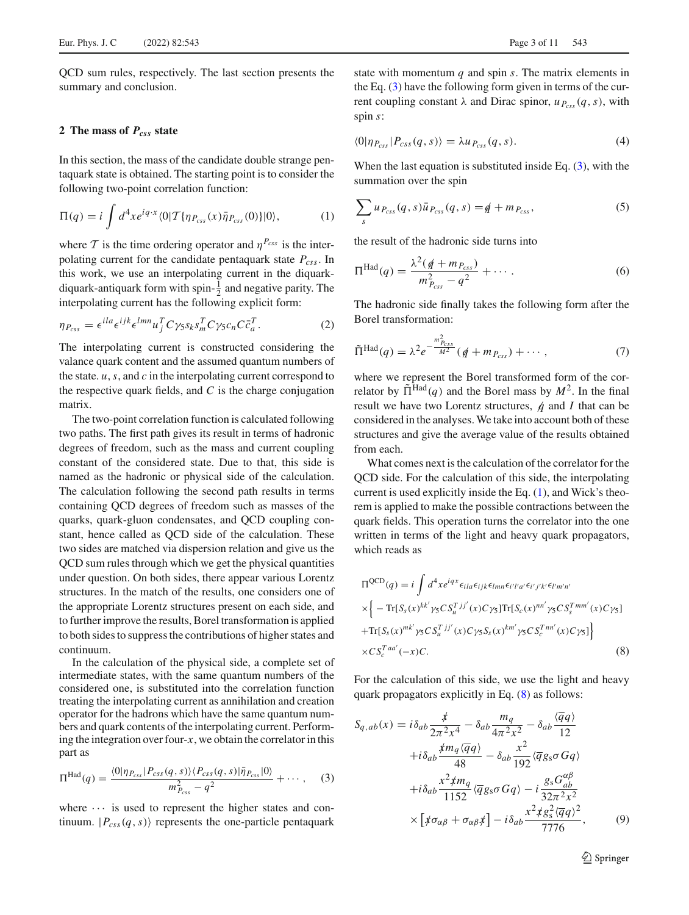QCD sum rules, respectively. The last section presents the summary and conclusion.

### <span id="page-2-0"></span>**2 The mass of** *Pcss* **state**

In this section, the mass of the candidate double strange pentaquark state is obtained. The starting point is to consider the following two-point correlation function:

<span id="page-2-2"></span>
$$
\Pi(q) = i \int d^4x e^{iq \cdot x} \langle 0| \mathcal{T} \{ \eta_{P_{\text{CSS}}}(x) \bar{\eta}_{P_{\text{CSS}}}(0) \} | 0 \rangle, \tag{1}
$$

where  $T$  is the time ordering operator and  $\eta^{P_{\text{css}}}$  is the interpolating current for the candidate pentaquark state  $P_{\text{css}}$ . In this work, we use an interpolating current in the diquarkdiquark-antiquark form with spin- $\frac{1}{2}$  and negative parity. The interpolating current has the following explicit form:

<span id="page-2-4"></span>
$$
\eta_{P_{CSS}} = \epsilon^{ila} \epsilon^{ijk} \epsilon^{lmn} u_j^T C \gamma_5 s_k s_m^T C \gamma_5 c_n C \bar{c}_a^T.
$$
 (2)

The interpolating current is constructed considering the valance quark content and the assumed quantum numbers of the state. *u*,*s*, and *c* in the interpolating current correspond to the respective quark fields, and  $C$  is the charge conjugation matrix.

The two-point correlation function is calculated following two paths. The first path gives its result in terms of hadronic degrees of freedom, such as the mass and current coupling constant of the considered state. Due to that, this side is named as the hadronic or physical side of the calculation. The calculation following the second path results in terms containing QCD degrees of freedom such as masses of the quarks, quark-gluon condensates, and QCD coupling constant, hence called as QCD side of the calculation. These two sides are matched via dispersion relation and give us the QCD sum rules through which we get the physical quantities under question. On both sides, there appear various Lorentz structures. In the match of the results, one considers one of the appropriate Lorentz structures present on each side, and to further improve the results, Borel transformation is applied to both sides to suppress the contributions of higher states and continuum.

In the calculation of the physical side, a complete set of intermediate states, with the same quantum numbers of the considered one, is substituted into the correlation function treating the interpolating current as annihilation and creation operator for the hadrons which have the same quantum numbers and quark contents of the interpolating current. Performing the integration over four-*x*, we obtain the correlator in this part as

<span id="page-2-1"></span>
$$
\Pi^{\text{Had}}(q) = \frac{\langle 0|\eta_{P_{\text{CSS}}}|P_{\text{CSS}}(q,s)\rangle \langle P_{\text{CSS}}(q,s)|\bar{\eta}_{P_{\text{CSS}}}|0\rangle}{m_{P_{\text{CSS}}}^2 - q^2} + \cdots, \quad (3)
$$

where  $\cdots$  is used to represent the higher states and continuum.  $|P_{css}(q, s)\rangle$  represents the one-particle pentaquark state with momentum *q* and spin *s*. The matrix elements in the Eq. [\(3\)](#page-2-1) have the following form given in terms of the current coupling constant  $\lambda$  and Dirac spinor,  $u_{P_{\text{css}}}(q, s)$ , with spin *s*:

$$
\langle 0|\eta_{P_{CSS}}|P_{CSS}(q,s)\rangle = \lambda u_{P_{CSS}}(q,s). \tag{4}
$$

When the last equation is substituted inside Eq.  $(3)$ , with the summation over the spin

$$
\sum_{s} u_{P_{CSS}}(q, s)\bar{u}_{P_{CSS}}(q, s) = \hat{q} + m_{P_{CSS}},\tag{5}
$$

the result of the hadronic side turns into

$$
\Pi^{\text{Had}}(q) = \frac{\lambda^2 (q + m_{P_{\text{css}}})}{m_{P_{\text{css}}}^2 - q^2} + \cdots.
$$
 (6)

The hadronic side finally takes the following form after the Borel transformation:

$$
\tilde{\Pi}^{\text{Had}}(q) = \lambda^2 e^{-\frac{m_{P_{\text{css}}}^2}{M^2}} (q + m_{P_{\text{css}}}) + \cdots, \qquad (7)
$$

where we represent the Borel transformed form of the correlator by  $\tilde{\Pi}^{Had}(q)$  and the Borel mass by  $M^2$ . In the final result we have two Lorentz structures,  $\phi$  and *I* that can be considered in the analyses. We take into account both of these structures and give the average value of the results obtained from each.

What comes next is the calculation of the correlator for the QCD side. For the calculation of this side, the interpolating current is used explicitly inside the Eq. [\(1\)](#page-2-2), and Wick's theorem is applied to make the possible contractions between the quark fields. This operation turns the correlator into the one written in terms of the light and heavy quark propagators, which reads as

<span id="page-2-3"></span>
$$
\Pi^{\text{QCD}}(q) = i \int d^4x e^{iqx} \epsilon_{ila} \epsilon_{ijk} \epsilon_{lmn} \epsilon_{i'l'a'} \epsilon_{i'j'k'} \epsilon_{l'm'n'}
$$
\n
$$
\times \left\{ -\text{Tr}[S_s(x)^{kk'} \gamma_5 C S_u^{T\ jj'}(x) C \gamma_5] \text{Tr}[S_c(x)^{nn'} \gamma_5 C S_s^{T\ nm'}(x) C \gamma_5] + \text{Tr}[S_s(x)^{mk'} \gamma_5 C S_u^{T\ jj'}(x) C \gamma_5 S_s(x)^{km'} \gamma_5 C S_c^{T\ nn'}(x) C \gamma_5] \right\}
$$
\n
$$
\times C S_c^{T\ aa'}(-x) C. \tag{8}
$$

For the calculation of this side, we use the light and heavy quark propagators explicitly in Eq. [\(8\)](#page-2-3) as follows:

<span id="page-2-5"></span>
$$
S_{q,ab}(x) = i\delta_{ab}\frac{\dot{\mathcal{F}}}{2\pi^2 x^4} - \delta_{ab}\frac{m_q}{4\pi^2 x^2} - \delta_{ab}\frac{\langle\overline{q}q\rangle}{12}
$$

$$
+i\delta_{ab}\frac{\dot{\mathcal{F}}m_q\langle\overline{q}q\rangle}{48} - \delta_{ab}\frac{x^2}{192}\langle\overline{q}g_s\sigma Gq\rangle
$$

$$
+i\delta_{ab}\frac{x^2 \dot{\mathcal{F}}m_q}{1152}\langle\overline{q}g_s\sigma Gq\rangle - i\frac{g_s G_{ab}^{\alpha\beta}}{32\pi^2 x^2}
$$

$$
\times \left[\dot{\mathcal{F}}\sigma_{\alpha\beta} + \sigma_{\alpha\beta}\dot{\mathcal{F}}\right] - i\delta_{ab}\frac{x^2 \dot{\mathcal{F}}g_s^2\langle\overline{q}q\rangle^2}{7776},\tag{9}
$$

<sup>2</sup> Springer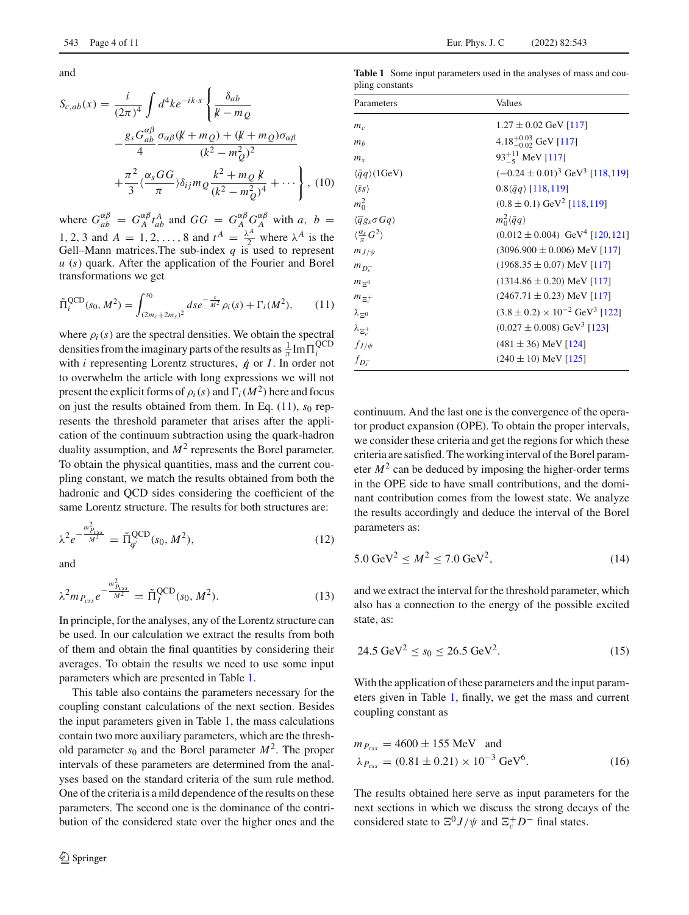and

<span id="page-3-2"></span>
$$
S_{c,ab}(x) = \frac{i}{(2\pi)^4} \int d^4k e^{-ik \cdot x} \left\{ \frac{\delta_{ab}}{k - m_Q} - \frac{g_s G_{ab}^{\alpha \beta}}{4} \frac{\sigma_{\alpha \beta} (k + m_Q) + (k + m_Q) \sigma_{\alpha \beta}}{(k^2 - m_Q^2)^2} + \frac{\pi^2}{3} \langle \frac{\alpha_s GG}{\pi} \rangle \delta_{ij} m_Q \frac{k^2 + m_Q k}{(k^2 - m_Q^2)^4} + \cdots \right\}, \tag{10}
$$

where  $G_{ab}^{\alpha\beta} = G_A^{\alpha\beta} t_{ab}^A$  and  $GG = G_A^{\alpha\beta} G_A^{\alpha\beta}$  with *a*, *b* = 1, 2, 3 and  $A = 1, 2, \ldots, 8$  and  $t^A = \frac{\lambda^A}{2}$  where  $\lambda^A$  is the Gell–Mann matrices. The sub-index  $q$  is used to represent *u* (*s*) quark. After the application of the Fourier and Borel transformations we get

<span id="page-3-0"></span>
$$
\tilde{\Pi}_i^{\text{QCD}}(s_0, M^2) = \int_{(2m_c + 2m_s)^2}^{s_0} ds e^{-\frac{s}{M^2}} \rho_i(s) + \Gamma_i(M^2), \qquad (11)
$$

where  $\rho_i(s)$  are the spectral densities. We obtain the spectral densities from the imaginary parts of the results as  $\frac{1}{\pi}$  Im $\Pi_i^{\text{QCD}}$ with *i* representing Lorentz structures, *q* or *I*. In order not to overwhelm the article with long expressions we will not present the explicit forms of  $\rho_i(s)$  and  $\Gamma_i(M^2)$  here and focus on just the results obtained from them. In Eq.  $(11)$ ,  $s<sub>0</sub>$  represents the threshold parameter that arises after the application of the continuum subtraction using the quark-hadron duality assumption, and  $M^2$  represents the Borel parameter. To obtain the physical quantities, mass and the current coupling constant, we match the results obtained from both the hadronic and QCD sides considering the coefficient of the same Lorentz structure. The results for both structures are:

$$
\lambda^2 e^{-\frac{m_{P_{CS}}^2}{M^2}} = \tilde{\Pi}_{q'}^{\text{QCD}}(s_0, M^2), \tag{12}
$$

and

$$
\lambda^2 m_{P_{\text{css}}} e^{-\frac{m_{P_{\text{css}}}^2}{M^2}} = \tilde{\Pi}_I^{\text{QCD}}(s_0, M^2). \tag{13}
$$

In principle, for the analyses, any of the Lorentz structure can be used. In our calculation we extract the results from both of them and obtain the final quantities by considering their averages. To obtain the results we need to use some input parameters which are presented in Table [1.](#page-3-1)

This table also contains the parameters necessary for the coupling constant calculations of the next section. Besides the input parameters given in Table [1,](#page-3-1) the mass calculations contain two more auxiliary parameters, which are the threshold parameter  $s_0$  and the Borel parameter  $M^2$ . The proper intervals of these parameters are determined from the analyses based on the standard criteria of the sum rule method. One of the criteria is a mild dependence of the results on these parameters. The second one is the dominance of the contribution of the considered state over the higher ones and the

<span id="page-3-1"></span>**Table 1** Some input parameters used in the analyses of mass and coupling constants

| Parameters                                   | Values                                                |
|----------------------------------------------|-------------------------------------------------------|
| $m_c$                                        | $1.27 \pm 0.02$ GeV [117]                             |
| m <sub>b</sub>                               | 4.18 <sup>+0.03</sup> GeV [117]                       |
| m <sub>s</sub>                               | $93^{+11}_{-5}$ MeV [117]                             |
| $\langle \bar{q}q \rangle$ (1GeV)            | $(-0.24 \pm 0.01)^3$ GeV <sup>3</sup> [118,119]       |
| $\langle \bar{s} s \rangle$                  | $0.8\langle \bar{q}q \rangle$ [118,119]               |
| $m_0^2$                                      | $(0.8 \pm 0.1)$ GeV <sup>2</sup> [118,119]            |
| $\langle \overline{q}g_s \sigma G q \rangle$ | $m_0^2\langle \bar{q}q\rangle$                        |
| $\langle \frac{\alpha_s}{\pi} G^2 \rangle$   | $(0.012 \pm 0.004)$ GeV <sup>4</sup> [120, 121]       |
| $m_{J/\psi}$                                 | $(3096.900 \pm 0.006)$ MeV [117]                      |
| $m_{D^-s}$                                   | $(1968.35 \pm 0.07)$ MeV [117]                        |
| $m_{\,\Xi^0}$                                | $(1314.86 \pm 0.20)$ MeV [117]                        |
| $m_{\Xi_c^+}$                                | $(2467.71 \pm 0.23)$ MeV [117]                        |
| $\lambda_{\Xi^0}$                            | $(3.8 \pm 0.2) \times 10^{-2}$ GeV <sup>3</sup> [122] |
| $\lambda_{\Xi_c^+}$                          | $(0.027 \pm 0.008)$ GeV <sup>3</sup> [123]            |
| $f_{J/\psi}$                                 | $(481 \pm 36)$ MeV [124]                              |
| $f_{D_{\rm s}^-}$                            | $(240 \pm 10)$ MeV [125]                              |

continuum. And the last one is the convergence of the operator product expansion (OPE). To obtain the proper intervals, we consider these criteria and get the regions for which these criteria are satisfied. The working interval of the Borel parameter  $M<sup>2</sup>$  can be deduced by imposing the higher-order terms in the OPE side to have small contributions, and the dominant contribution comes from the lowest state. We analyze the results accordingly and deduce the interval of the Borel parameters as:

$$
5.0 \text{ GeV}^2 \le M^2 \le 7.0 \text{ GeV}^2,\tag{14}
$$

and we extract the interval for the threshold parameter, which also has a connection to the energy of the possible excited state, as:

$$
24.5 \text{ GeV}^2 \le s_0 \le 26.5 \text{ GeV}^2. \tag{15}
$$

With the application of these parameters and the input parameters given in Table [1,](#page-3-1) finally, we get the mass and current coupling constant as

$$
m_{P_{\text{css}}} = 4600 \pm 155 \text{ MeV} \text{ and}
$$
  
\n
$$
\lambda_{P_{\text{css}}} = (0.81 \pm 0.21) \times 10^{-3} \text{ GeV}^6.
$$
 (16)

The results obtained here serve as input parameters for the next sections in which we discuss the strong decays of the considered state to  $\Xi^0 J/\psi$  and  $\Xi_c^+ D^-$  final states.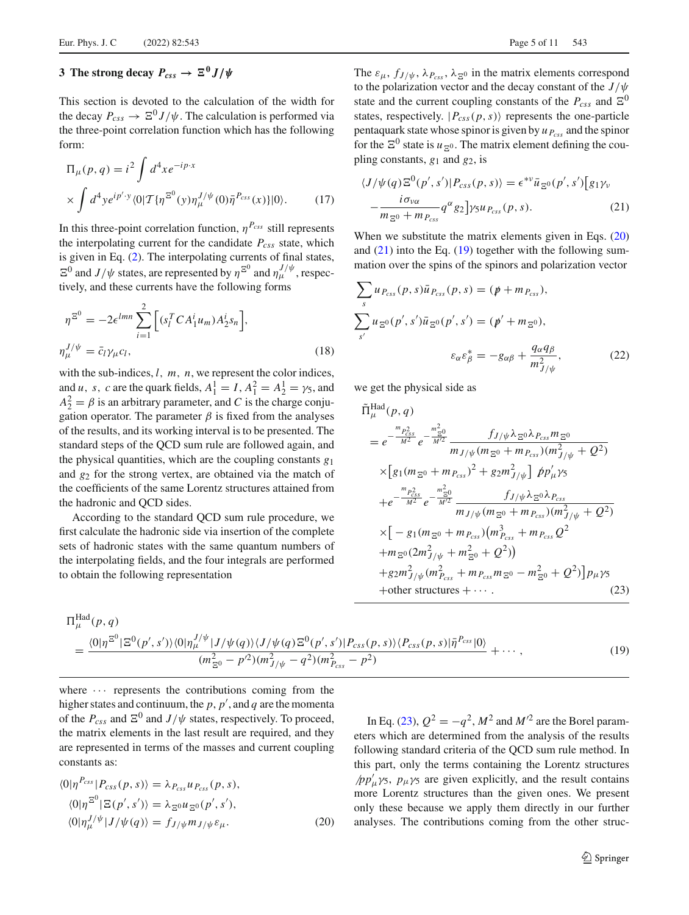## <span id="page-4-0"></span>**3** The strong decay  $P_{css} \rightarrow \Xi^0 J/\psi$

This section is devoted to the calculation of the width for the decay  $P_{css} \to \Xi^0 J/\psi$ . The calculation is performed via the three-point correlation function which has the following form:

<span id="page-4-6"></span>
$$
\Pi_{\mu}(p,q) = i^2 \int d^4x e^{-ip \cdot x} \times \int d^4y e^{ip' \cdot y} \langle 0 | T \{ \eta^{\Xi^0}(y) \eta_{\mu}^{J/\psi}(0) \bar{\eta}^{P_{css}}(x) \} | 0 \rangle.
$$
 (17)

In this three-point correlation function,  $\eta^{P_{CSS}}$  still represents the interpolating current for the candidate  $P_{\text{css}}$  state, which is given in Eq. [\(2\)](#page-2-4). The interpolating currents of final states,  $\Xi^0$  and  $J/\psi$  states, are represented by  $\eta^{\Xi^0}$  and  $\eta_{\mu}^{J/\psi}$ , respectively, and these currents have the following forms

<span id="page-4-5"></span>
$$
\eta^{\Xi^0} = -2\epsilon^{lmn} \sum_{i=1}^2 \left[ (s_l^T C A_1^i u_m) A_2^i s_n \right],
$$
  

$$
\eta_{\mu}^{J/\psi} = \bar{c}_l \gamma_{\mu} c_l,
$$
 (18)

with the sub-indices, *l*, *m*, *n*, we represent the color indices, and *u*, *s*, *c* are the quark fields,  $A_1^1 = I$ ,  $A_1^2 = A_2^1 = \gamma_5$ , and  $A_2^2 = \beta$  is an arbitrary parameter, and *C* is the charge conjugation operator. The parameter  $\beta$  is fixed from the analyses of the results, and its working interval is to be presented. The standard steps of the QCD sum rule are followed again, and the physical quantities, which are the coupling constants *g*<sup>1</sup> and *g*<sup>2</sup> for the strong vertex, are obtained via the match of the coefficients of the same Lorentz structures attained from the hadronic and QCD sides.

According to the standard QCD sum rule procedure, we first calculate the hadronic side via insertion of the complete sets of hadronic states with the same quantum numbers of the interpolating fields, and the four integrals are performed to obtain the following representation

The  $\varepsilon_{\mu}$ ,  $f_{J/\psi}$ ,  $\lambda_{P_{css}}$ ,  $\lambda_{\bar{\Xi}^0}$  in the matrix elements correspond to the polarization vector and the decay constant of the *J*/ψ state and the current coupling constants of the  $P_{CSS}$  and  $\mathbb{E}^0$ states, respectively.  $|P_{css}(p, s)\rangle$  represents the one-particle pentaquark state whose spinor is given by *u Pcss* and the spinor for the  $\Xi^0$  state is  $u_{\Xi^0}$ . The matrix element defining the coupling constants, *g*<sup>1</sup> and *g*2, is

<span id="page-4-2"></span>
$$
\langle J/\psi(q)\Xi^{0}(p',s')|P_{css}(p,s)\rangle = \epsilon^{*\nu}\bar{u}_{\Xi^{0}}(p',s')[g_{1}\gamma_{\nu} - \frac{i\sigma_{\nu\alpha}}{m_{\Xi^{0}}+m_{P_{css}}}q^{\alpha}g_{2}] \gamma_{5}u_{P_{css}}(p,s).
$$
 (21)

When we substitute the matrix elements given in Eqs. [\(20\)](#page-4-1) and  $(21)$  into the Eq.  $(19)$  together with the following summation over the spins of the spinors and polarization vector

<span id="page-4-7"></span>
$$
\sum_{s} u_{P_{CSS}}(p, s)\bar{u}_{P_{CSS}}(p, s) = (p + m_{P_{CSS}}),
$$
  

$$
\sum_{s'} u_{\Xi^0}(p', s')\bar{u}_{\Xi^0}(p', s') = (p' + m_{\Xi^0}),
$$
  

$$
\varepsilon_{\alpha}\varepsilon_{\beta}^* = -g_{\alpha\beta} + \frac{q_{\alpha}q_{\beta}}{m_{J/\psi}^2},
$$
 (22)

we get the physical side as

<span id="page-4-4"></span>
$$
\tilde{\Pi}_{\mu}^{\text{Had}}(p,q) \n= e^{-\frac{m_{P_{\text{css}}^2}}{M^2}} e^{-\frac{m_{\text{c}}^2}{M^2}} \frac{f_{J/\psi} \lambda_{\text{E}} \delta \lambda_{P_{\text{css}}} m_{\text{E}} \delta}{m_{J/\psi} (m_{\text{E}} \delta + m_{P_{\text{css}}}) (m_{J/\psi}^2 + Q^2)} \n\times \left[ g_1 (m_{\text{E}} \delta + m_{P_{\text{css}}})^2 + g_2 m_{J/\psi}^2 \right] \not{p} p_{\mu}^{\prime} \gamma_5 \n+ e^{-\frac{m_{P_{\text{css}}^2}}{M^2}} e^{-\frac{m_{\text{c}}^2 \delta}{M^2}} \frac{f_{J/\psi} \lambda_{\text{E}} \delta \lambda_{P_{\text{css}}}}{m_{J/\psi} (m_{\text{E}} \delta + m_{P_{\text{css}}}) (m_{J/\psi}^2 + Q^2)} \n\times \left[ -g_1 (m_{\text{E}} \delta + m_{P_{\text{css}}}) (m_{P_{\text{css}}}^3 + m_{P_{\text{css}}} Q^2 \n+ m_{\text{E}} \delta (2 m_{J/\psi}^2 + m_{\text{E}}^2 \delta + Q^2) \right) \n+ g_2 m_{J/\psi}^2 (m_{P_{\text{css}}}^2 + m_{P_{\text{css}}} m_{\text{E}} \delta - m_{\text{E}}^2 \delta + Q^2) \right] p_{\mu} \gamma_5 \n+ \text{other structures} + \cdots. \tag{23}
$$

<span id="page-4-3"></span>
$$
\Pi_{\mu}^{\text{Had}}(p,q)
$$
\n
$$
= \frac{\langle 0|\eta^{\Xi^{0}}|\Xi^{0}(p',s')\rangle\langle 0|\eta_{\mu}^{J/\psi}|J/\psi(q)\rangle\langle J/\psi(q)\Xi^{0}(p',s')|P_{\text{css}}(p,s)\rangle\langle P_{\text{css}}(p,s)|\bar{\eta}^{P_{\text{css}}}|0\rangle}{(m_{\Xi^{0}}^{2}-p'^{2})(m_{J/\psi}^{2}-q^{2})(m_{P_{\text{css}}}^{2}-p^{2})} + \cdots, \qquad (19)
$$

where  $\cdots$  represents the contributions coming from the higher states and continuum, the *p*, *p* , and *q* are the momenta of the  $P_{\text{css}}$  and  $\Xi^0$  and  $J/\psi$  states, respectively. To proceed, the matrix elements in the last result are required, and they are represented in terms of the masses and current coupling constants as:

<span id="page-4-1"></span>
$$
\langle 0|\eta^{P_{CSS}}|P_{CSS}(p,s)\rangle = \lambda_{P_{CSS}}u_{P_{CSS}}(p,s),
$$
  
\n
$$
\langle 0|\eta^{\mathbb{E}^0}|\Xi(p',s')\rangle = \lambda_{\mathbb{E}^0}u_{\mathbb{E}^0}(p',s'),
$$
  
\n
$$
\langle 0|\eta_{\mu}^{J/\psi}|J/\psi(q)\rangle = f_{J/\psi}m_{J/\psi}\varepsilon_{\mu}.
$$
\n(20)

In Eq. [\(23\)](#page-4-4),  $Q^2 = -q^2$ ,  $M^2$  and  $M'^2$  are the Borel parameters which are determined from the analysis of the results following standard criteria of the QCD sum rule method. In this part, only the terms containing the Lorentz structures  $\sqrt{p}p'_{\mu}\gamma_5$ ,  $p_{\mu}\gamma_5$  are given explicitly, and the result contains more Lorentz structures than the given ones. We present only these because we apply them directly in our further analyses. The contributions coming from the other struc-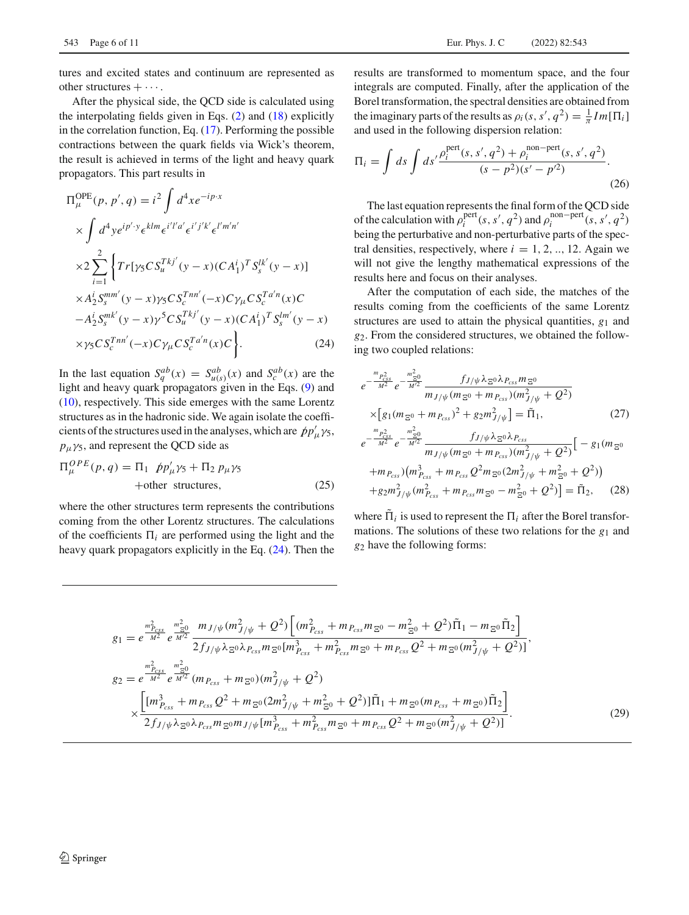tures and excited states and continuum are represented as other structures  $+\cdots$ .

After the physical side, the QCD side is calculated using the interpolating fields given in Eqs.  $(2)$  and  $(18)$  explicitly in the correlation function, Eq. [\(17\)](#page-4-6). Performing the possible contractions between the quark fields via Wick's theorem, the result is achieved in terms of the light and heavy quark propagators. This part results in

<span id="page-5-0"></span>
$$
\Pi_{\mu}^{\text{OPE}}(p, p', q) = i^2 \int d^4x e^{-ip \cdot x}
$$
\n
$$
\times \int d^4y e^{ip' \cdot y} \epsilon^{klm} \epsilon^{i'l' a'} \epsilon^{i'j' k'} \epsilon^{l'm'n'}
$$
\n
$$
\times 2 \sum_{i=1}^2 \left\{ Tr[\gamma_5 C S_u^{Tkj'}(y - x) (C A_1^i)^T S_s^{lk'}(y - x)] \right\}
$$
\n
$$
\times A_2^i S_s^{mm'}(y - x) \gamma_5 C S_c^{Tnn'}(-x) C \gamma_\mu C S_c^{T a'n}(x) C
$$
\n
$$
- A_2^i S_s^{mk'}(y - x) \gamma^5 C S_u^{Tkj'}(y - x) (C A_1^i)^T S_s^{lm'}(y - x)
$$
\n
$$
\times \gamma_5 C S_c^{Tnn'}(-x) C \gamma_\mu C S_c^{T a'n}(x) C \left.\right\}.
$$
\n(24)

In the last equation  $S_q^{ab}(x) = S_{u(s)}^{ab}(x)$  and  $S_c^{ab}(x)$  are the light and heavy quark propagators given in the Eqs. [\(9\)](#page-2-5) and [\(10\)](#page-3-2), respectively. This side emerges with the same Lorentz structures as in the hadronic side. We again isolate the coefficients of the structures used in the analyses, which are  $pp'_{\mu} \gamma_5$ ,  $p_{\mu} \gamma_5$ , and represent the QCD side as

$$
\Pi_{\mu}^{OPE}(p,q) = \Pi_1 \quad \dot{p}p'_{\mu}\gamma_5 + \Pi_2 \, p_{\mu}\gamma_5
$$
  
+other structures, (25)

where the other structures term represents the contributions coming from the other Lorentz structures. The calculations of the coefficients  $\Pi_i$  are performed using the light and the heavy quark propagators explicitly in the Eq. [\(24\)](#page-5-0). Then the

results are transformed to momentum space, and the four integrals are computed. Finally, after the application of the Borel transformation, the spectral densities are obtained from the imaginary parts of the results as  $\rho_i(s, s', q^2) = \frac{1}{\pi} Im[\Pi_i]$ and used in the following dispersion relation:

$$
\Pi_{i} = \int ds \int ds' \frac{\rho_{i}^{\text{pert}}(s, s', q^{2}) + \rho_{i}^{\text{non-pert}}(s, s', q^{2})}{(s - p^{2})(s' - p'^{2})}.
$$
\n(26)

The last equation represents the final form of the QCD side of the calculation with  $\rho_i^{\text{pert}}(s, s', q^2)$  and  $\rho_i^{\text{non-pert}}(s, s', q^2)$ being the perturbative and non-perturbative parts of the spectral densities, respectively, where  $i = 1, 2, \dots, 12$ . Again we will not give the lengthy mathematical expressions of the results here and focus on their analyses.

After the computation of each side, the matches of the results coming from the coefficients of the same Lorentz structures are used to attain the physical quantities, *g*<sup>1</sup> and *g*2. From the considered structures, we obtained the following two coupled relations:

$$
e^{-\frac{m_{P_{\text{css}}^2}}{M^2}} e^{-\frac{m_{\text{css}}^2}{M^2}} \frac{f_{J/\psi} \lambda_{\text{E}} \circ \lambda_{P_{\text{css}}} m_{\text{E}} \circ}{m_{J/\psi} (m_{\text{E}} \circ + m_{P_{\text{css}}}) (m_{J/\psi}^2 + Q^2)}
$$
  
\n
$$
\times [g_1 (m_{\text{E}} \circ + m_{P_{\text{css}}})^2 + g_2 m_{J/\psi}^2] = \tilde{\Pi}_1, \qquad (27)
$$
  
\n
$$
e^{-\frac{m_{P_{\text{css}}^2}}{M^2}} e^{-\frac{m_{\text{css}}^2}{M^2}} \frac{f_{J/\psi} \lambda_{\text{E}} \circ \lambda_{P_{\text{css}}}}{m_{J/\psi} (m_{\text{E}} \circ + m_{P_{\text{css}}}) (m_{J/\psi}^2 + Q^2)} [-g_1 (m_{\text{E}} \circ + m_{P_{\text{css}}}) (m_{P_{\text{css}}}^2 + m_{P_{\text{css}}}^2) ] - g_2 (m_{\text{E}}^2 \circ \lambda_{P_{\text{css}}}^2 + m_{\text{E}}^2)
$$

$$
+g_2m_{J/\psi}^2(m_{P_{css}}^2 + m_{P_{css}}m_{\Xi^0} - m_{\Xi^0}^2 + Q^2)\rbrack = \tilde{\Pi}_2, \quad (28)
$$

where  $\Pi_i$  is used to represent the  $\Pi_i$  after the Borel transformations. The solutions of these two relations for the *g*<sup>1</sup> and *g*<sup>2</sup> have the following forms:

$$
g_{1} = e^{\frac{m_{P_{CSs}}^{2}}{M^{2}}} e^{\frac{m_{\Xi_{0}}^{2}}{M^{2}}} \frac{m_{J/\psi} (m_{J/\psi}^{2} + Q^{2}) \left[ (m_{P_{CSs}}^{2} + m_{P_{CSs}} m_{\Xi^{0}} - m_{\Xi^{0}}^{2} + Q^{2}) \tilde{\Pi}_{1} - m_{\Xi^{0}} \tilde{\Pi}_{2} \right]}{2 f_{J/\psi} \lambda_{\Xi^{0}} \lambda_{P_{CSs}} m_{\Xi^{0}} [m_{P_{CSs}}^{3} + m_{P_{CSs}}^{2} m_{\Xi^{0}} + m_{P_{CSs}} Q^{2} + m_{\Xi^{0}} (m_{J/\psi}^{2} + Q^{2})]},
$$
  
\n
$$
g_{2} = e^{\frac{m_{P_{CSs}}^{2}}{M^{2}}} e^{\frac{m_{\Xi^{0}}^{2}}{M^{2}}} (m_{P_{CSs}} + m_{\Xi^{0}}) (m_{J/\psi}^{2} + Q^{2})
$$
  
\n
$$
\times \frac{\left[ [m_{P_{CSs}}^{3} + m_{P_{CSs}} Q^{2} + m_{\Xi^{0}} (2m_{J/\psi}^{2} + m_{\Xi^{0}}^{2} + Q^{2})] \tilde{\Pi}_{1} + m_{\Xi^{0}} (m_{P_{CSs}} + m_{\Xi^{0}}) \tilde{\Pi}_{2} \right]}{2 f_{J/\psi} \lambda_{\Xi^{0}} \lambda_{P_{CSs}} m_{\Xi^{0}} m_{J/\psi} [m_{P_{CSs}}^{3} + m_{P_{CSs}}^{2} m_{\Xi^{0}} + m_{P_{CSs}} Q^{2} + m_{\Xi^{0}} (m_{J/\psi}^{2} + Q^{2})]}. \tag{29}
$$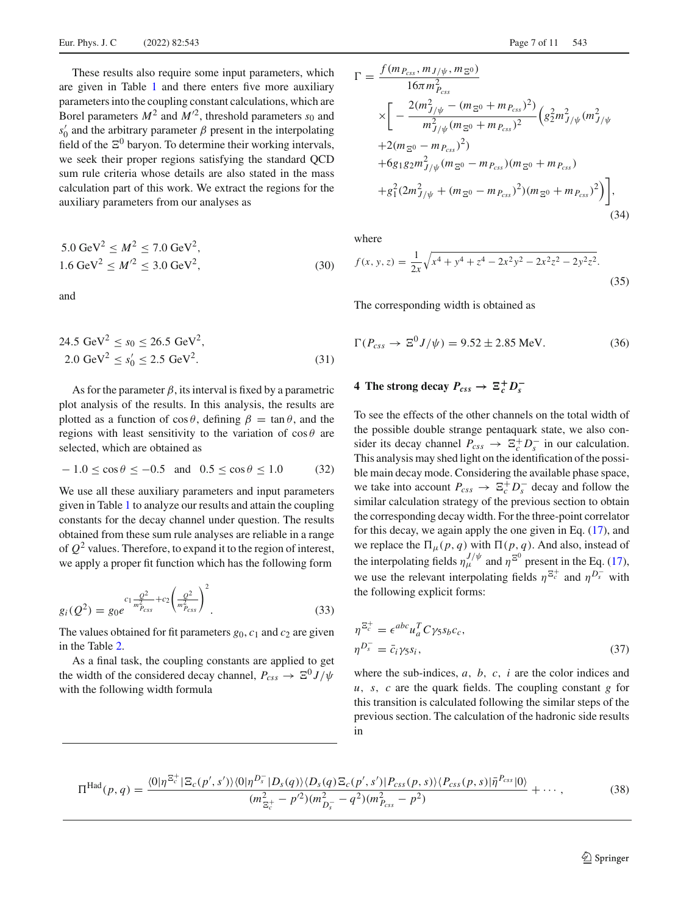These results also require some input parameters, which are given in Table [1](#page-3-1) and there enters five more auxiliary parameters into the coupling constant calculations, which are Borel parameters  $M^2$  and  $M'^2$ , threshold parameters  $s_0$  and  $s_0$  and the arbitrary parameter  $\beta$  present in the interpolating field of the  $\Xi^0$  baryon. To determine their working intervals, we seek their proper regions satisfying the standard QCD sum rule criteria whose details are also stated in the mass calculation part of this work. We extract the regions for the auxiliary parameters from our analyses as

$$
5.0 \text{ GeV}^2 \le M^2 \le 7.0 \text{ GeV}^2,
$$
  
1.6 \text{ GeV}^2 \le M'^2 \le 3.0 \text{ GeV}^2, (30)

and

$$
24.5 \text{ GeV}^2 \le s_0 \le 26.5 \text{ GeV}^2,
$$
  
2.0 \text{ GeV}^2 \le s'\_0 \le 2.5 \text{ GeV}^2. (31)

As for the parameter  $\beta$ , its interval is fixed by a parametric plot analysis of the results. In this analysis, the results are plotted as a function of  $\cos \theta$ , defining  $\beta = \tan \theta$ , and the regions with least sensitivity to the variation of  $\cos \theta$  are selected, which are obtained as

$$
-1.0 \le \cos \theta \le -0.5 \text{ and } 0.5 \le \cos \theta \le 1.0 \tag{32}
$$

We use all these auxiliary parameters and input parameters given in Table [1](#page-3-1) to analyze our results and attain the coupling constants for the decay channel under question. The results obtained from these sum rule analyses are reliable in a range of  $Q^2$  values. Therefore, to expand it to the region of interest, we apply a proper fit function which has the following form

$$
g_i(Q^2) = g_0 e^{c_1 \frac{Q^2}{m_{P_{CSs}}^2} + c_2 \left(\frac{Q^2}{m_{P_{CSs}}^2}\right)^2}.
$$
\n(33)

The values obtained for fit parameters  $g_0$ ,  $c_1$  and  $c_2$  are given in the Table [2.](#page-7-0)

As a final task, the coupling constants are applied to get the width of the considered decay channel,  $P_{CSS} \rightarrow \Xi^0 J/\psi$ with the following width formula

$$
\Gamma = \frac{f(m_{P_{css}}, m_{J/\psi}, m_{\Xi^0})}{16\pi m_{P_{css}}^2}
$$
\n
$$
\times \left[ -\frac{2(m_{J/\psi}^2 - (m_{\Xi^0} + m_{P_{css}})^2)}{m_{J/\psi}^2 (m_{\Xi^0} + m_{P_{css}})^2} \left( g_2^2 m_{J/\psi}^2 (m_{J/\psi}^2 + 2(m_{\Xi^0} - m_{P_{css}})^2) + 6g_1 g_2 m_{J/\psi}^2 (m_{\Xi^0} - m_{P_{css}}) (m_{\Xi^0} + m_{P_{css}}) + g_1^2 (2m_{J/\psi}^2 + (m_{\Xi^0} - m_{P_{css}})^2) (m_{\Xi^0} + m_{P_{css}})^2) \right],
$$
\n(34)

where

<span id="page-6-2"></span>
$$
f(x, y, z) = \frac{1}{2x} \sqrt{x^4 + y^4 + z^4 - 2x^2y^2 - 2x^2z^2 - 2y^2z^2}.
$$
\n(35)

The corresponding width is obtained as

$$
\Gamma(P_{\text{css}} \to \Xi^0 J/\psi) = 9.52 \pm 2.85 \text{ MeV}.
$$
 (36)

### <span id="page-6-0"></span>**4** The strong decay  $P_{css} \rightarrow \Xi_c^+ D_s^-$

To see the effects of the other channels on the total width of the possible double strange pentaquark state, we also consider its decay channel  $P_{css} \rightarrow \Xi_c^+ D_s^-$  in our calculation. This analysis may shed light on the identification of the possible main decay mode. Considering the available phase space, we take into account  $P_{css} \to \Xi_c^+ D_s^-$  decay and follow the similar calculation strategy of the previous section to obtain the corresponding decay width. For the three-point correlator for this decay, we again apply the one given in Eq. [\(17\)](#page-4-6), and we replace the  $\Pi_{\mu}(p, q)$  with  $\Pi(p, q)$ . And also, instead of the interpolating fields  $\eta_{\mu}^{J/\psi}$  and  $\eta^{\Xi^0}$  present in the Eq. [\(17\)](#page-4-6), we use the relevant interpolating fields  $\eta^{E_c^+}$  and  $\eta^{D_s^-}$  with the following explicit forms:

$$
\eta^{\Xi_c^+} = \epsilon^{abc} u_a^T C \gamma_5 s_b c_c, \eta^{D_s^-} = \bar{c}_i \gamma_5 s_i,
$$
\n(37)

<span id="page-6-1"></span>where the sub-indices, *a*, *b*, *c*, *i* are the color indices and *u*, *s*, *c* are the quark fields. The coupling constant *g* for this transition is calculated following the similar steps of the previous section. The calculation of the hadronic side results in

$$
\Pi^{\text{Had}}(p,q) = \frac{\langle 0|\eta^{\Xi_c^+}|\Xi_c(p',s')\rangle \langle 0|\eta^{D_s^-}|D_s(q)\rangle \langle D_s(q)\Xi_c(p',s')|P_{\text{CSS}}(p,s)\rangle \langle P_{\text{CSS}}(p,s)|\bar{\eta}^{P_{\text{CSS}}}|0\rangle}{(m_{\Xi_c^+}^2 - p'^2)(m_{D_s^-}^2 - q^2)(m_{P_{\text{CSS}}}^2 - p^2)} + \cdots, \tag{38}
$$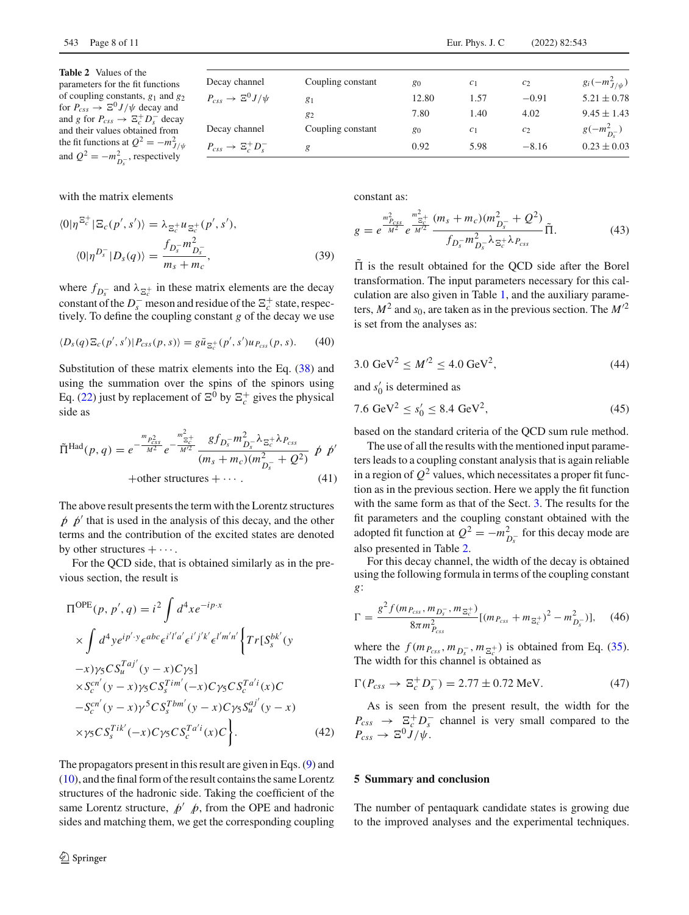<span id="page-7-0"></span>**Table 2** Values of the parameters for the fit functions of coupling constants, *g*<sup>1</sup> and *g*<sup>2</sup> for  $P_{css} \to \Xi^0 J/\psi$  decay and and *g* for  $P_{css} \to \Xi_c^+ D_s^-$  decay and their values obtained from the fit functions at  $Q^2 = -m_{J/\psi}^2$ and  $Q^2 = -m_{D_s^-}^2$ , respectively

Decay channel Coupling constant *g*<sup>0</sup> *c*<sub>1</sub> *c*<sub>2</sub>  $g_i(-m_{J/\psi}^2)$  $P_{css} \rightarrow \Xi^0 J/\psi$  $\frac{0}{\sqrt{y}}$  *g*<sub>1</sub> **g**<sub>1</sub> 12.80 **1.57** −0.91 **5.21** ± 0.78  $g_2$  7.80 1.40 4.02 9.45 ± 1.43 Decay channel Coupling constant  $g_0$  *c*<sub>1</sub> *c*<sub>2</sub>  $\frac{2}{D_s^{-}}$  $P_{css} \rightarrow \Xi_c^+ D_s^$  $s$  *g* 6.92 5.98 −8.16 0.23 ± 0.03

with the matrix elements

$$
\langle 0|\eta^{\Xi_c^+}|\Xi_c(p',s')\rangle = \lambda_{\Xi_c^+} u_{\Xi_c^+}(p',s'),
$$

$$
\langle 0|\eta^{D_s^-}|D_s(q)\rangle = \frac{f_{D_s^-}m_{D_s^-}^2}{m_s + m_c},
$$
(39)

where  $f_{D_s^-}$  and  $\lambda_{\Xi_c^+}$  in these matrix elements are the decay constant of the  $D_s^-$  meson and residue of the  $\Xi_c^+$  state, respectively. To define the coupling constant *g* of the decay we use

$$
\langle D_s(q)\Xi_c(p',s')|P_{css}(p,s)\rangle = g\bar{u}_{\Xi_c^+}(p',s')u_{P_{css}}(p,s). \tag{40}
$$

Substitution of these matrix elements into the Eq. [\(38\)](#page-6-1) and using the summation over the spins of the spinors using Eq. [\(22\)](#page-4-7) just by replacement of  $\Xi^0$  by  $\Xi_c^+$  gives the physical side as

$$
\tilde{\Pi}^{\text{Had}}(p,q) = e^{-\frac{m_{P_{\text{css}}^2}}{M^2}} e^{-\frac{m_{\Xi_c^+}^2}{M^2}} \frac{g f_{D_s^-} m_{D_s^-}^2 \lambda_{\Xi_c^+} \lambda_{P_{\text{css}}}}{(m_s + m_c)(m_{D_s^-}^2 + Q^2)} \not{p} \not{p}'
$$
\n
$$
+ \text{other structures} + \cdots. \tag{41}
$$

The above result presents the term with the Lorentz structures  $p \not p'$  that is used in the analysis of this decay, and the other terms and the contribution of the excited states are denoted by other structures  $+\cdots$ .

For the QCD side, that is obtained similarly as in the previous section, the result is

$$
\Pi^{\text{OPE}}(p, p', q) = i^2 \int d^4x e^{-ip \cdot x} \times \int d^4y e^{ip' \cdot y} \epsilon^{abc} \epsilon^{i'j'a'} \epsilon^{i'j'k'} \epsilon^{l'm'n'} \Big\{ Tr[S_s^{bk'}(y - x) \gamma_5 C S_u^{Taj'}(y - x) C \gamma_5] \times S_c^{cn'}(y - x) \gamma_5 C S_s^{Tim'}(-x) C \gamma_5 C S_c^{Tai'}(x) C \ -S_c^{cn'}(y - x) \gamma^5 C S_s^{Tbm'}(y - x) C \gamma_5 S_u^{aj'}(y - x) \times \gamma_5 C S_s^{Tik'}(-x) C \gamma_5 C S_c^{Tai'}(x) C \Big\}. \tag{42}
$$

The propagators present in this result are given in Eqs. [\(9\)](#page-2-5) and [\(10\)](#page-3-2), and the final form of the result contains the same Lorentz structures of the hadronic side. Taking the coefficient of the same Lorentz structure,  $p' p$ , from the OPE and hadronic sides and matching them, we get the corresponding coupling constant as:

$$
g = e^{\frac{m_{P_{CSS}}^2}{M^2}} e^{\frac{m_{\Xi_c^+}^2}{M^2}} \frac{(m_s + m_c)(m_{D_s^-}^2 + Q^2)}{f_{D_s^-} m_{D_s^-}^2 \lambda_{\Xi_c^+} \lambda_{P_{CSS}}} \tilde{\Pi}.
$$
 (43)

 $\Pi$  is the result obtained for the OCD side after the Borel transformation. The input parameters necessary for this calculation are also given in Table [1,](#page-3-1) and the auxiliary parameters,  $M^2$  and  $s_0$ , are taken as in the previous section. The  $M^2$ is set from the analyses as:

$$
3.0 \text{ GeV}^2 \le M'^2 \le 4.0 \text{ GeV}^2,\tag{44}
$$

and  $s'_0$  is determined as

$$
7.6 \text{ GeV}^2 \le s_0' \le 8.4 \text{ GeV}^2,\tag{45}
$$

based on the standard criteria of the QCD sum rule method.

The use of all the results with the mentioned input parameters leads to a coupling constant analysis that is again reliable in a region of  $Q^2$  values, which necessitates a proper fit function as in the previous section. Here we apply the fit function with the same form as that of the Sect. [3.](#page-4-0) The results for the fit parameters and the coupling constant obtained with the adopted fit function at  $Q^2 = -m_{D_s}^2$  for this decay mode are also presented in Table [2.](#page-7-0)

For this decay channel, the width of the decay is obtained using the following formula in terms of the coupling constant *g*:

$$
\Gamma = \frac{g^2 f(m_{P_{css}}, m_{D_s^-}, m_{\Xi_c^+})}{8\pi m_{P_{css}}^2} [(m_{P_{css}} + m_{\Xi_c^+})^2 - m_{D_s^-}^2)], \quad (46)
$$

where the  $f(m_{P_{css}}, m_{D_s^-}, m_{\Xi_c^+})$  is obtained from Eq. [\(35\)](#page-6-2). The width for this channel is obtained as

$$
\Gamma(P_{\text{css}} \to \Xi_c^+ D_s^-) = 2.77 \pm 0.72 \text{ MeV}.
$$
 (47)

As is seen from the present result, the width for the  $P_{css} \rightarrow \frac{\Xi_c^+ D_s^-}{\Sigma_c^+}$  channel is very small compared to the  $P_{CSS} \rightarrow \Xi^0 J/\psi.$ 

#### **5 Summary and conclusion**

The number of pentaquark candidate states is growing due to the improved analyses and the experimental techniques.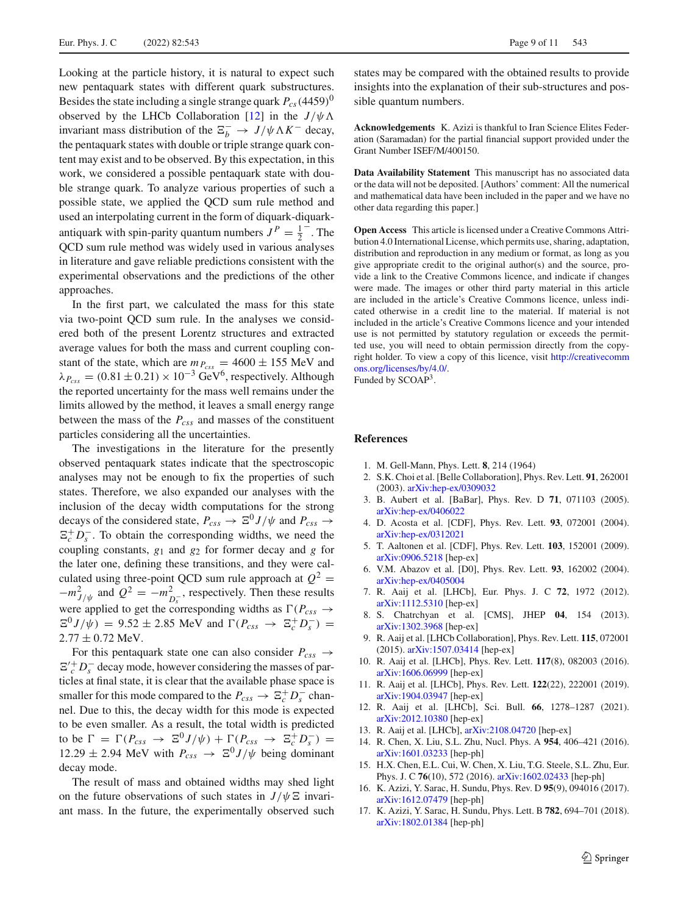Looking at the particle history, it is natural to expect such new pentaquark states with different quark substructures. Besides the state including a single strange quark  $P_{cs}(4459)^0$ observed by the LHCb Collaboration [\[12](#page-8-11)] in the  $J/\psi \Lambda$ invariant mass distribution of the  $\Xi_b^- \to J/\psi \Lambda K^-$  decay, the pentaquark states with double or triple strange quark content may exist and to be observed. By this expectation, in this work, we considered a possible pentaquark state with double strange quark. To analyze various properties of such a possible state, we applied the QCD sum rule method and used an interpolating current in the form of diquark-diquarkantiquark with spin-parity quantum numbers  $J^P = \frac{1}{2}$ . The QCD sum rule method was widely used in various analyses in literature and gave reliable predictions consistent with the experimental observations and the predictions of the other approaches.

In the first part, we calculated the mass for this state via two-point QCD sum rule. In the analyses we considered both of the present Lorentz structures and extracted average values for both the mass and current coupling constant of the state, which are  $m_{P_{CSS}} = 4600 \pm 155$  MeV and  $\lambda_{P_{\text{css}}}$  = (0.81 ± 0.21) × 10<sup>-3</sup> GeV<sup>6</sup>, respectively. Although the reported uncertainty for the mass well remains under the limits allowed by the method, it leaves a small energy range between the mass of the *Pcss* and masses of the constituent particles considering all the uncertainties.

The investigations in the literature for the presently observed pentaquark states indicate that the spectroscopic analyses may not be enough to fix the properties of such states. Therefore, we also expanded our analyses with the inclusion of the decay width computations for the strong decays of the considered state,  $P_{CSS} \rightarrow \Xi^0 J/\psi$  and  $P_{CSS} \rightarrow$  $\Xi_c^+ D_s^-$ . To obtain the corresponding widths, we need the coupling constants, *g*<sup>1</sup> and *g*<sup>2</sup> for former decay and *g* for the later one, defining these transitions, and they were calculated using three-point QCD sum rule approach at  $Q^2$  =  $-m_{J/\psi}^2$  and  $Q^2 = -m_{D_s^-}^2$ , respectively. Then these results were applied to get the corresponding widths as  $\Gamma(P_{CSS} \rightarrow$  $E^0 J/\psi$  = 9.52 ± 2.85 MeV and  $\Gamma(P_{css} \to \Xi_c^+ D_s^-)$  =  $2.77 \pm 0.72$  MeV.

For this pentaquark state one can also consider  $P_{\text{css}} \rightarrow$  $\Xi'_{c}^{+}D_{s}^{-}$  decay mode, however considering the masses of particles at final state, it is clear that the available phase space is smaller for this mode compared to the  $P_{css} \to \Xi_c^+ D_s^-$  channel. Due to this, the decay width for this mode is expected to be even smaller. As a result, the total width is predicted to be  $\Gamma = \Gamma(P_{css} \rightarrow \Xi^0 J/\psi) + \Gamma(P_{css} \rightarrow \Xi_c^+ D_s^-) =$  $12.29 \pm 2.94$  MeV with  $P_{css} \rightarrow \Xi^0 J/\psi$  being dominant decay mode.

The result of mass and obtained widths may shed light on the future observations of such states in  $J/\psi \Xi$  invariant mass. In the future, the experimentally observed such

states may be compared with the obtained results to provide insights into the explanation of their sub-structures and possible quantum numbers.

**Acknowledgements** K. Azizi is thankful to Iran Science Elites Federation (Saramadan) for the partial financial support provided under the Grant Number ISEF/M/400150.

**Data Availability Statement** This manuscript has no associated data or the data will not be deposited. [Authors' comment: All the numerical and mathematical data have been included in the paper and we have no other data regarding this paper.]

**Open Access** This article is licensed under a Creative Commons Attribution 4.0 International License, which permits use, sharing, adaptation, distribution and reproduction in any medium or format, as long as you give appropriate credit to the original author(s) and the source, provide a link to the Creative Commons licence, and indicate if changes were made. The images or other third party material in this article are included in the article's Creative Commons licence, unless indicated otherwise in a credit line to the material. If material is not included in the article's Creative Commons licence and your intended use is not permitted by statutory regulation or exceeds the permitted use, you will need to obtain permission directly from the copyright holder. To view a copy of this licence, visit [http://creativecomm](http://creativecommons.org/licenses/by/4.0/) [ons.org/licenses/by/4.0/.](http://creativecommons.org/licenses/by/4.0/)

Funded by SCOAP3.

### **References**

- <span id="page-8-0"></span>1. M. Gell-Mann, Phys. Lett. **8**, 214 (1964)
- <span id="page-8-1"></span>2. S.K. Choi et al. [Belle Collaboration], Phys. Rev. Lett. **91**, 262001 (2003). [arXiv:hep-ex/0309032](http://arxiv.org/abs/hep-ex/0309032)
- <span id="page-8-2"></span>3. B. Aubert et al. [BaBar], Phys. Rev. D **71**, 071103 (2005). [arXiv:hep-ex/0406022](http://arxiv.org/abs/hep-ex/0406022)
- <span id="page-8-3"></span>4. D. Acosta et al. [CDF], Phys. Rev. Lett. **93**, 072001 (2004). [arXiv:hep-ex/0312021](http://arxiv.org/abs/hep-ex/0312021)
- <span id="page-8-4"></span>5. T. Aaltonen et al. [CDF], Phys. Rev. Lett. **103**, 152001 (2009). [arXiv:0906.5218](http://arxiv.org/abs/0906.5218) [hep-ex]
- <span id="page-8-5"></span>6. V.M. Abazov et al. [D0], Phys. Rev. Lett. **93**, 162002 (2004). [arXiv:hep-ex/0405004](http://arxiv.org/abs/hep-ex/0405004)
- <span id="page-8-6"></span>7. R. Aaij et al. [LHCb], Eur. Phys. J. C **72**, 1972 (2012). [arXiv:1112.5310](http://arxiv.org/abs/1112.5310) [hep-ex]
- <span id="page-8-7"></span>8. S. Chatrchyan et al. [CMS], JHEP **04**, 154 (2013). [arXiv:1302.3968](http://arxiv.org/abs/1302.3968) [hep-ex]
- <span id="page-8-8"></span>9. R. Aaij et al. [LHCb Collaboration], Phys. Rev. Lett. **115**, 072001 (2015). [arXiv:1507.03414](http://arxiv.org/abs/1507.03414) [hep-ex]
- <span id="page-8-9"></span>10. R. Aaij et al. [LHCb], Phys. Rev. Lett. **117**(8), 082003 (2016). [arXiv:1606.06999](http://arxiv.org/abs/1606.06999) [hep-ex]
- <span id="page-8-10"></span>11. R. Aaij et al. [LHCb], Phys. Rev. Lett. **122**(22), 222001 (2019). [arXiv:1904.03947](http://arxiv.org/abs/1904.03947) [hep-ex]
- <span id="page-8-11"></span>12. R. Aaij et al. [LHCb], Sci. Bull. **66**, 1278–1287 (2021). [arXiv:2012.10380](http://arxiv.org/abs/2012.10380) [hep-ex]
- <span id="page-8-12"></span>13. R. Aaij et al. [LHCb], [arXiv:2108.04720](http://arxiv.org/abs/2108.04720) [hep-ex]
- <span id="page-8-13"></span>14. R. Chen, X. Liu, S.L. Zhu, Nucl. Phys. A **954**, 406–421 (2016). [arXiv:1601.03233](http://arxiv.org/abs/1601.03233) [hep-ph]
- <span id="page-8-14"></span>15. H.X. Chen, E.L. Cui, W. Chen, X. Liu, T.G. Steele, S.L. Zhu, Eur. Phys. J. C **76**(10), 572 (2016). [arXiv:1602.02433](http://arxiv.org/abs/1602.02433) [hep-ph]
- 16. K. Azizi, Y. Sarac, H. Sundu, Phys. Rev. D **95**(9), 094016 (2017). [arXiv:1612.07479](http://arxiv.org/abs/1612.07479) [hep-ph]
- 17. K. Azizi, Y. Sarac, H. Sundu, Phys. Lett. B **782**, 694–701 (2018). [arXiv:1802.01384](http://arxiv.org/abs/1802.01384) [hep-ph]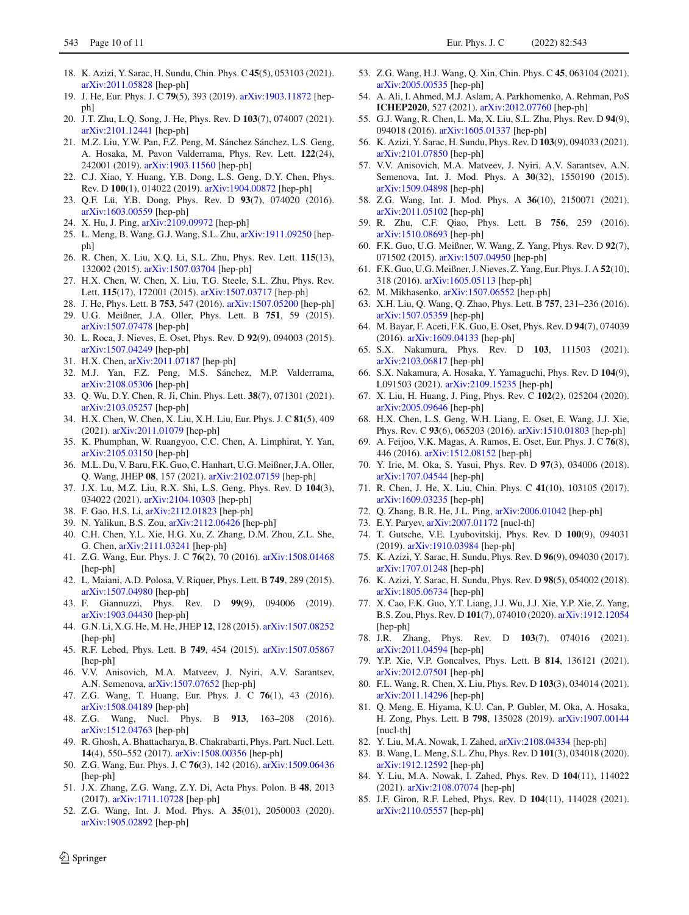- <span id="page-9-0"></span>18. K. Azizi, Y. Sarac, H. Sundu, Chin. Phys. C **45**(5), 053103 (2021). [arXiv:2011.05828](http://arxiv.org/abs/2011.05828) [hep-ph]
- <span id="page-9-1"></span>19. J. He, Eur. Phys. J. C **79**(5), 393 (2019). [arXiv:1903.11872](http://arxiv.org/abs/1903.11872) [hepph]
- <span id="page-9-2"></span>20. J.T. Zhu, L.Q. Song, J. He, Phys. Rev. D **103**(7), 074007 (2021). [arXiv:2101.12441](http://arxiv.org/abs/2101.12441) [hep-ph]
- <span id="page-9-3"></span>21. M.Z. Liu, Y.W. Pan, F.Z. Peng, M. Sánchez Sánchez, L.S. Geng, A. Hosaka, M. Pavon Valderrama, Phys. Rev. Lett. **122**(24), 242001 (2019). [arXiv:1903.11560](http://arxiv.org/abs/1903.11560) [hep-ph]
- <span id="page-9-4"></span>22. C.J. Xiao, Y. Huang, Y.B. Dong, L.S. Geng, D.Y. Chen, Phys. Rev. D **100**(1), 014022 (2019). [arXiv:1904.00872](http://arxiv.org/abs/1904.00872) [hep-ph]
- <span id="page-9-5"></span>23. Q.F. Lü, Y.B. Dong, Phys. Rev. D **93**(7), 074020 (2016). [arXiv:1603.00559](http://arxiv.org/abs/1603.00559) [hep-ph]
- <span id="page-9-6"></span>24. X. Hu, J. Ping, [arXiv:2109.09972](http://arxiv.org/abs/2109.09972) [hep-ph]
- <span id="page-9-7"></span>25. L. Meng, B. Wang, G.J. Wang, S.L. Zhu, [arXiv:1911.09250](http://arxiv.org/abs/1911.09250) [hepph]
- <span id="page-9-8"></span>26. R. Chen, X. Liu, X.Q. Li, S.L. Zhu, Phys. Rev. Lett. **115**(13), 132002 (2015). [arXiv:1507.03704](http://arxiv.org/abs/1507.03704) [hep-ph]
- 27. H.X. Chen, W. Chen, X. Liu, T.G. Steele, S.L. Zhu, Phys. Rev. Lett. **115**(17), 172001 (2015). [arXiv:1507.03717](http://arxiv.org/abs/1507.03717) [hep-ph]
- 28. J. He, Phys. Lett. B **753**, 547 (2016). [arXiv:1507.05200](http://arxiv.org/abs/1507.05200) [hep-ph]
- 29. U.G. Meißner, J.A. Oller, Phys. Lett. B **751**, 59 (2015). [arXiv:1507.07478](http://arxiv.org/abs/1507.07478) [hep-ph]
- 30. L. Roca, J. Nieves, E. Oset, Phys. Rev. D **92**(9), 094003 (2015). [arXiv:1507.04249](http://arxiv.org/abs/1507.04249) [hep-ph]
- 31. H.X. Chen, [arXiv:2011.07187](http://arxiv.org/abs/2011.07187) [hep-ph]
- 32. M.J. Yan, F.Z. Peng, M.S. Sánchez, M.P. Valderrama, [arXiv:2108.05306](http://arxiv.org/abs/2108.05306) [hep-ph]
- 33. Q. Wu, D.Y. Chen, R. Ji, Chin. Phys. Lett. **38**(7), 071301 (2021). [arXiv:2103.05257](http://arxiv.org/abs/2103.05257) [hep-ph]
- 34. H.X. Chen, W. Chen, X. Liu, X.H. Liu, Eur. Phys. J. C **81**(5), 409 (2021). [arXiv:2011.01079](http://arxiv.org/abs/2011.01079) [hep-ph]
- 35. K. Phumphan, W. Ruangyoo, C.C. Chen, A. Limphirat, Y. Yan, [arXiv:2105.03150](http://arxiv.org/abs/2105.03150) [hep-ph]
- 36. M.L. Du, V. Baru, F.K. Guo, C. Hanhart, U.G. Meißner, J.A. Oller, Q. Wang, JHEP **08**, 157 (2021). [arXiv:2102.07159](http://arxiv.org/abs/2102.07159) [hep-ph]
- 37. J.X. Lu, M.Z. Liu, R.X. Shi, L.S. Geng, Phys. Rev. D **104**(3), 034022 (2021). [arXiv:2104.10303](http://arxiv.org/abs/2104.10303) [hep-ph]
- <span id="page-9-11"></span>38. F. Gao, H.S. Li, [arXiv:2112.01823](http://arxiv.org/abs/2112.01823) [hep-ph]
- <span id="page-9-9"></span>39. N. Yalikun, B.S. Zou, [arXiv:2112.06426](http://arxiv.org/abs/2112.06426) [hep-ph]
- <span id="page-9-10"></span>40. C.H. Chen, Y.L. Xie, H.G. Xu, Z. Zhang, D.M. Zhou, Z.L. She, G. Chen, [arXiv:2111.03241](http://arxiv.org/abs/2111.03241) [hep-ph]
- <span id="page-9-12"></span>41. Z.G. Wang, Eur. Phys. J. C **76**(2), 70 (2016). [arXiv:1508.01468](http://arxiv.org/abs/1508.01468) [hep-ph]
- 42. L. Maiani, A.D. Polosa, V. Riquer, Phys. Lett. B **749**, 289 (2015). [arXiv:1507.04980](http://arxiv.org/abs/1507.04980) [hep-ph]
- 43. F. Giannuzzi, Phys. Rev. D **99**(9), 094006 (2019). [arXiv:1903.04430](http://arxiv.org/abs/1903.04430) [hep-ph]
- 44. G.N. Li, X.G. He, M. He, JHEP **12**, 128 (2015). [arXiv:1507.08252](http://arxiv.org/abs/1507.08252) [hep-ph]
- 45. R.F. Lebed, Phys. Lett. B **749**, 454 (2015). [arXiv:1507.05867](http://arxiv.org/abs/1507.05867) [hep-ph]
- 46. V.V. Anisovich, M.A. Matveev, J. Nyiri, A.V. Sarantsev, A.N. Semenova, [arXiv:1507.07652](http://arxiv.org/abs/1507.07652) [hep-ph]
- 47. Z.G. Wang, T. Huang, Eur. Phys. J. C **76**(1), 43 (2016). [arXiv:1508.04189](http://arxiv.org/abs/1508.04189) [hep-ph]
- 48. Z.G. Wang, Nucl. Phys. B **913**, 163–208 (2016). [arXiv:1512.04763](http://arxiv.org/abs/1512.04763) [hep-ph]
- 49. R. Ghosh, A. Bhattacharya, B. Chakrabarti, Phys. Part. Nucl. Lett. **14**(4), 550–552 (2017). [arXiv:1508.00356](http://arxiv.org/abs/1508.00356) [hep-ph]
- 50. Z.G. Wang, Eur. Phys. J. C **76**(3), 142 (2016). [arXiv:1509.06436](http://arxiv.org/abs/1509.06436) [hep-ph]
- 51. J.X. Zhang, Z.G. Wang, Z.Y. Di, Acta Phys. Polon. B **48**, 2013 (2017). [arXiv:1711.10728](http://arxiv.org/abs/1711.10728) [hep-ph]
- 52. Z.G. Wang, Int. J. Mod. Phys. A **35**(01), 2050003 (2020). [arXiv:1905.02892](http://arxiv.org/abs/1905.02892) [hep-ph]
- 53. Z.G. Wang, H.J. Wang, Q. Xin, Chin. Phys. C **45**, 063104 (2021). [arXiv:2005.00535](http://arxiv.org/abs/2005.00535) [hep-ph]
- 54. A. Ali, I. Ahmed, M.J. Aslam, A. Parkhomenko, A. Rehman, PoS **ICHEP2020**, 527 (2021). [arXiv:2012.07760](http://arxiv.org/abs/2012.07760) [hep-ph]
- <span id="page-9-14"></span>55. G.J. Wang, R. Chen, L. Ma, X. Liu, S.L. Zhu, Phys. Rev. D **94**(9), 094018 (2016). [arXiv:1605.01337](http://arxiv.org/abs/1605.01337) [hep-ph]
- 56. K. Azizi, Y. Sarac, H. Sundu, Phys. Rev. D **103**(9), 094033 (2021). [arXiv:2101.07850](http://arxiv.org/abs/2101.07850) [hep-ph]
- 57. V.V. Anisovich, M.A. Matveev, J. Nyiri, A.V. Sarantsev, A.N. Semenova, Int. J. Mod. Phys. A **30**(32), 1550190 (2015). [arXiv:1509.04898](http://arxiv.org/abs/1509.04898) [hep-ph]
- <span id="page-9-13"></span>58. Z.G. Wang, Int. J. Mod. Phys. A **36**(10), 2150071 (2021). [arXiv:2011.05102](http://arxiv.org/abs/2011.05102) [hep-ph]
- <span id="page-9-15"></span>59. R. Zhu, C.F. Qiao, Phys. Lett. B **756**, 259 (2016). [arXiv:1510.08693](http://arxiv.org/abs/1510.08693) [hep-ph]
- <span id="page-9-16"></span>60. F.K. Guo, U.G. Meißner, W. Wang, Z. Yang, Phys. Rev. D **92**(7), 071502 (2015). [arXiv:1507.04950](http://arxiv.org/abs/1507.04950) [hep-ph]
- 61. F.K. Guo, U.G. Meißner, J. Nieves, Z. Yang, Eur. Phys. J. A **52**(10), 318 (2016). [arXiv:1605.05113](http://arxiv.org/abs/1605.05113) [hep-ph]
- 62. M. Mikhasenko, [arXiv:1507.06552](http://arxiv.org/abs/1507.06552) [hep-ph]
- 63. X.H. Liu, Q. Wang, Q. Zhao, Phys. Lett. B **757**, 231–236 (2016). [arXiv:1507.05359](http://arxiv.org/abs/1507.05359) [hep-ph]
- 64. M. Bayar, F. Aceti, F.K. Guo, E. Oset, Phys. Rev. D **94**(7), 074039 (2016). [arXiv:1609.04133](http://arxiv.org/abs/1609.04133) [hep-ph]
- <span id="page-9-17"></span>65. S.X. Nakamura, Phys. Rev. D **103**, 111503 (2021). [arXiv:2103.06817](http://arxiv.org/abs/2103.06817) [hep-ph]
- <span id="page-9-18"></span>66. S.X. Nakamura, A. Hosaka, Y. Yamaguchi, Phys. Rev. D **104**(9), L091503 (2021). [arXiv:2109.15235](http://arxiv.org/abs/2109.15235) [hep-ph]
- <span id="page-9-19"></span>67. X. Liu, H. Huang, J. Ping, Phys. Rev. C **102**(2), 025204 (2020). [arXiv:2005.09646](http://arxiv.org/abs/2005.09646) [hep-ph]
- <span id="page-9-20"></span>68. H.X. Chen, L.S. Geng, W.H. Liang, E. Oset, E. Wang, J.J. Xie, Phys. Rev. C **93**(6), 065203 (2016). [arXiv:1510.01803](http://arxiv.org/abs/1510.01803) [hep-ph]
- <span id="page-9-21"></span>69. A. Feijoo, V.K. Magas, A. Ramos, E. Oset, Eur. Phys. J. C **76**(8), 446 (2016). [arXiv:1512.08152](http://arxiv.org/abs/1512.08152) [hep-ph]
- 70. Y. Irie, M. Oka, S. Yasui, Phys. Rev. D **97**(3), 034006 (2018). [arXiv:1707.04544](http://arxiv.org/abs/1707.04544) [hep-ph]
- 71. R. Chen, J. He, X. Liu, Chin. Phys. C **41**(10), 103105 (2017). [arXiv:1609.03235](http://arxiv.org/abs/1609.03235) [hep-ph]
- 72. Q. Zhang, B.R. He, J.L. Ping, [arXiv:2006.01042](http://arxiv.org/abs/2006.01042) [hep-ph]
- 73. E.Y. Paryev, [arXiv:2007.01172](http://arxiv.org/abs/2007.01172) [nucl-th]
- 74. T. Gutsche, V.E. Lyubovitskij, Phys. Rev. D **100**(9), 094031 (2019). [arXiv:1910.03984](http://arxiv.org/abs/1910.03984) [hep-ph]
- <span id="page-9-23"></span>75. K. Azizi, Y. Sarac, H. Sundu, Phys. Rev. D **96**(9), 094030 (2017). [arXiv:1707.01248](http://arxiv.org/abs/1707.01248) [hep-ph]
- <span id="page-9-24"></span>76. K. Azizi, Y. Sarac, H. Sundu, Phys. Rev. D **98**(5), 054002 (2018). [arXiv:1805.06734](http://arxiv.org/abs/1805.06734) [hep-ph]
- 77. X. Cao, F.K. Guo, Y.T. Liang, J.J. Wu, J.J. Xie, Y.P. Xie, Z. Yang, B.S. Zou, Phys. Rev. D **101**(7), 074010 (2020). [arXiv:1912.12054](http://arxiv.org/abs/1912.12054) [hep-ph]
- <span id="page-9-25"></span>78. J.R. Zhang, Phys. Rev. D **103**(7), 074016 (2021). [arXiv:2011.04594](http://arxiv.org/abs/2011.04594) [hep-ph]
- 79. Y.P. Xie, V.P. Goncalves, Phys. Lett. B **814**, 136121 (2021). [arXiv:2012.07501](http://arxiv.org/abs/2012.07501) [hep-ph]
- <span id="page-9-26"></span>80. F.L. Wang, R. Chen, X. Liu, Phys. Rev. D **103**(3), 034014 (2021). [arXiv:2011.14296](http://arxiv.org/abs/2011.14296) [hep-ph]
- <span id="page-9-27"></span>81. Q. Meng, E. Hiyama, K.U. Can, P. Gubler, M. Oka, A. Hosaka, H. Zong, Phys. Lett. B **798**, 135028 (2019). [arXiv:1907.00144](http://arxiv.org/abs/1907.00144) [nucl-th]
- 82. Y. Liu, M.A. Nowak, I. Zahed, [arXiv:2108.04334](http://arxiv.org/abs/2108.04334) [hep-ph]
- 83. B. Wang, L. Meng, S.L. Zhu, Phys. Rev. D **101**(3), 034018 (2020). [arXiv:1912.12592](http://arxiv.org/abs/1912.12592) [hep-ph]
- <span id="page-9-22"></span>84. Y. Liu, M.A. Nowak, I. Zahed, Phys. Rev. D **104**(11), 114022 (2021). [arXiv:2108.07074](http://arxiv.org/abs/2108.07074) [hep-ph]
- 85. J.F. Giron, R.F. Lebed, Phys. Rev. D **104**(11), 114028 (2021). [arXiv:2110.05557](http://arxiv.org/abs/2110.05557) [hep-ph]